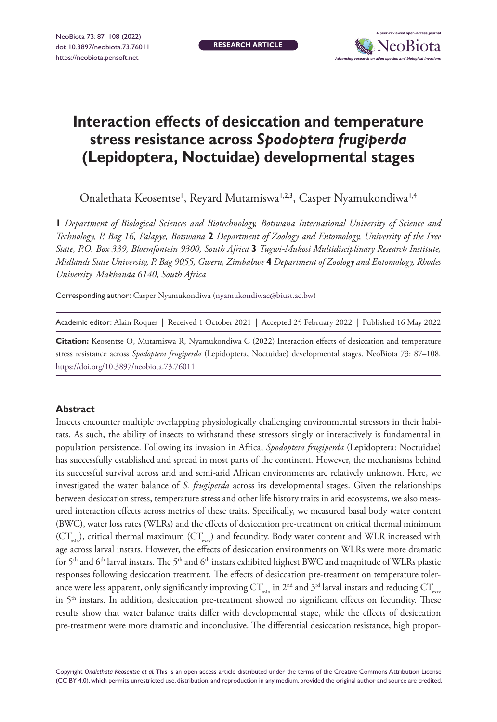**RESEARCH ARTICLE**



# **Interaction effects of desiccation and temperature stress resistance across** *Spodoptera frugiperda* **(Lepidoptera, Noctuidae) developmental stages**

Onalethata Keosentse', Reyard Mutamiswa<sup>1,2,3</sup>, Casper Nyamukondiwa<sup>1,4</sup>

**1** *Department of Biological Sciences and Biotechnology, Botswana International University of Science and Technology, P. Bag 16, Palapye, Botswana* **2** *Department of Zoology and Entomology, University of the Free State, P.O. Box 339, Bloemfontein 9300, South Africa* **3** *Tugwi-Mukosi Multidisciplinary Research Institute, Midlands State University, P. Bag 9055, Gweru, Zimbabwe* **4** *Department of Zoology and Entomology, Rhodes University, Makhanda 6140, South Africa*

Corresponding author: Casper Nyamukondiwa ([nyamukondiwac@biust.ac.bw](mailto:nyamukondiwac@biust.ac.bw))

Academic editor: Alain Roques | Received 1 October 2021 | Accepted 25 February 2022 | Published 16 May 2022

**Citation:** Keosentse O, Mutamiswa R, Nyamukondiwa C (2022) Interaction effects of desiccation and temperature stress resistance across *Spodoptera frugiperda* (Lepidoptera, Noctuidae) developmental stages. NeoBiota 73: 87–108. <https://doi.org/10.3897/neobiota.73.76011>

#### **Abstract**

Insects encounter multiple overlapping physiologically challenging environmental stressors in their habitats. As such, the ability of insects to withstand these stressors singly or interactively is fundamental in population persistence. Following its invasion in Africa, *Spodoptera frugiperda* (Lepidoptera: Noctuidae) has successfully established and spread in most parts of the continent. However, the mechanisms behind its successful survival across arid and semi-arid African environments are relatively unknown. Here, we investigated the water balance of *S. frugiperda* across its developmental stages. Given the relationships between desiccation stress, temperature stress and other life history traits in arid ecosystems, we also measured interaction effects across metrics of these traits. Specifically, we measured basal body water content (BWC), water loss rates (WLRs) and the effects of desiccation pre-treatment on critical thermal minimum  $(CT<sub>min</sub>)$ , critical thermal maximum  $(CT<sub>max</sub>)$  and fecundity. Body water content and WLR increased with age across larval instars. However, the effects of desiccation environments on WLRs were more dramatic for 5<sup>th</sup> and 6<sup>th</sup> larval instars. The 5<sup>th</sup> and 6<sup>th</sup> instars exhibited highest BWC and magnitude of WLRs plastic responses following desiccation treatment. The effects of desiccation pre-treatment on temperature tolerance were less apparent, only significantly improving  $CT_{min}$  in 2<sup>nd</sup> and 3<sup>rd</sup> larval instars and reducing  $CT_{max}$ in 5<sup>th</sup> instars. In addition, desiccation pre-treatment showed no significant effects on fecundity. These results show that water balance traits differ with developmental stage, while the effects of desiccation pre-treatment were more dramatic and inconclusive. The differential desiccation resistance, high propor-

Copyright *Onalethata Keosentse et al.* This is an open access article distributed under the terms of the [Creative Commons Attribution License](http://creativecommons.org/licenses/by/4.0/)  [\(CC BY 4.0\)](http://creativecommons.org/licenses/by/4.0/), which permits unrestricted use, distribution, and reproduction in any medium, provided the original author and source are credited.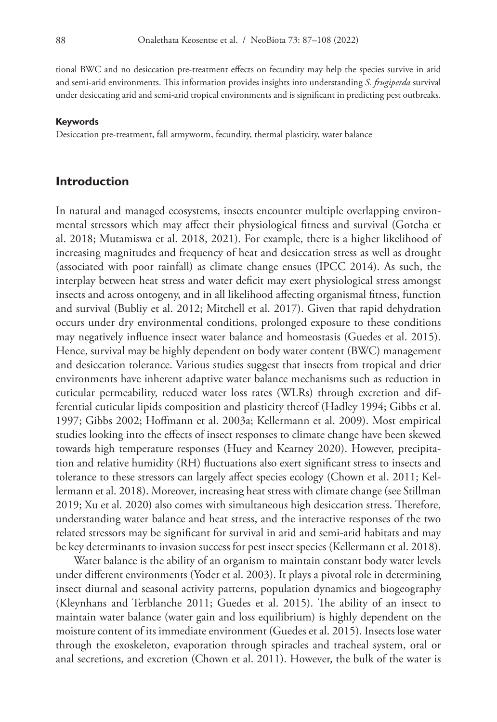tional BWC and no desiccation pre-treatment effects on fecundity may help the species survive in arid and semi-arid environments. This information provides insights into understanding *S. frugiperda* survival under desiccating arid and semi-arid tropical environments and is significant in predicting pest outbreaks.

#### **Keywords**

Desiccation pre-treatment, fall armyworm, fecundity, thermal plasticity, water balance

#### **Introduction**

In natural and managed ecosystems, insects encounter multiple overlapping environmental stressors which may affect their physiological fitness and survival (Gotcha et al. 2018; Mutamiswa et al. 2018, 2021). For example, there is a higher likelihood of increasing magnitudes and frequency of heat and desiccation stress as well as drought (associated with poor rainfall) as climate change ensues (IPCC 2014). As such, the interplay between heat stress and water deficit may exert physiological stress amongst insects and across ontogeny, and in all likelihood affecting organismal fitness, function and survival (Bubliy et al. 2012; Mitchell et al. 2017). Given that rapid dehydration occurs under dry environmental conditions, prolonged exposure to these conditions may negatively influence insect water balance and homeostasis (Guedes et al. 2015). Hence, survival may be highly dependent on body water content (BWC) management and desiccation tolerance. Various studies suggest that insects from tropical and drier environments have inherent adaptive water balance mechanisms such as reduction in cuticular permeability, reduced water loss rates (WLRs) through excretion and differential cuticular lipids composition and plasticity thereof (Hadley 1994; Gibbs et al. 1997; Gibbs 2002; Hoffmann et al. 2003a; Kellermann et al. 2009). Most empirical studies looking into the effects of insect responses to climate change have been skewed towards high temperature responses (Huey and Kearney 2020). However, precipitation and relative humidity (RH) fluctuations also exert significant stress to insects and tolerance to these stressors can largely affect species ecology (Chown et al. 2011; Kellermann et al. 2018). Moreover, increasing heat stress with climate change (see Stillman 2019; Xu et al. 2020) also comes with simultaneous high desiccation stress. Therefore, understanding water balance and heat stress, and the interactive responses of the two related stressors may be significant for survival in arid and semi-arid habitats and may be key determinants to invasion success for pest insect species (Kellermann et al. 2018).

Water balance is the ability of an organism to maintain constant body water levels under different environments (Yoder et al. 2003). It plays a pivotal role in determining insect diurnal and seasonal activity patterns, population dynamics and biogeography (Kleynhans and Terblanche 2011; Guedes et al. 2015). The ability of an insect to maintain water balance (water gain and loss equilibrium) is highly dependent on the moisture content of its immediate environment (Guedes et al. 2015). Insects lose water through the exoskeleton, evaporation through spiracles and tracheal system, oral or anal secretions, and excretion (Chown et al. 2011). However, the bulk of the water is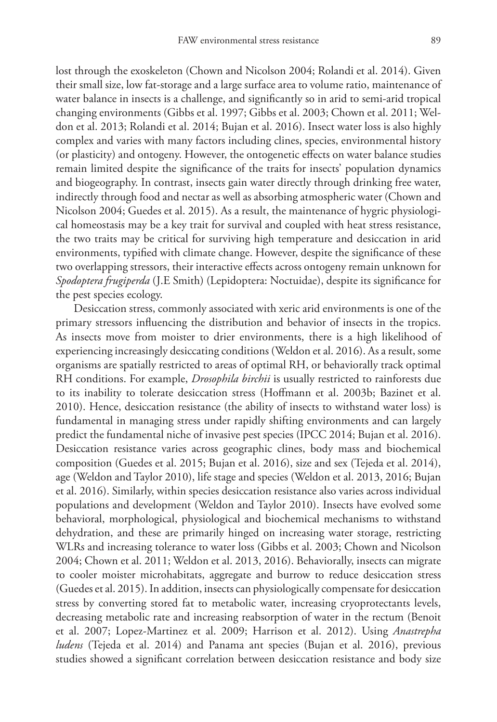lost through the exoskeleton (Chown and Nicolson 2004; Rolandi et al. 2014). Given their small size, low fat-storage and a large surface area to volume ratio, maintenance of water balance in insects is a challenge, and significantly so in arid to semi-arid tropical changing environments (Gibbs et al. 1997; Gibbs et al. 2003; Chown et al. 2011; Weldon et al. 2013; Rolandi et al. 2014; Bujan et al. 2016). Insect water loss is also highly complex and varies with many factors including clines, species, environmental history (or plasticity) and ontogeny. However, the ontogenetic effects on water balance studies remain limited despite the significance of the traits for insects' population dynamics and biogeography. In contrast, insects gain water directly through drinking free water, indirectly through food and nectar as well as absorbing atmospheric water (Chown and Nicolson 2004; Guedes et al. 2015). As a result, the maintenance of hygric physiological homeostasis may be a key trait for survival and coupled with heat stress resistance, the two traits may be critical for surviving high temperature and desiccation in arid environments, typified with climate change. However, despite the significance of these two overlapping stressors, their interactive effects across ontogeny remain unknown for *Spodoptera frugiperda* (J.E Smith) (Lepidoptera: Noctuidae), despite its significance for the pest species ecology.

Desiccation stress, commonly associated with xeric arid environments is one of the primary stressors influencing the distribution and behavior of insects in the tropics. As insects move from moister to drier environments, there is a high likelihood of experiencing increasingly desiccating conditions (Weldon et al. 2016). As a result, some organisms are spatially restricted to areas of optimal RH, or behaviorally track optimal RH conditions. For example, *Drosophila birchii* is usually restricted to rainforests due to its inability to tolerate desiccation stress (Hoffmann et al. 2003b; Bazinet et al. 2010). Hence, desiccation resistance (the ability of insects to withstand water loss) is fundamental in managing stress under rapidly shifting environments and can largely predict the fundamental niche of invasive pest species (IPCC 2014; Bujan et al. 2016). Desiccation resistance varies across geographic clines, body mass and biochemical composition (Guedes et al. 2015; Bujan et al. 2016), size and sex (Tejeda et al. 2014), age (Weldon and Taylor 2010), life stage and species (Weldon et al. 2013, 2016; Bujan et al. 2016). Similarly, within species desiccation resistance also varies across individual populations and development (Weldon and Taylor 2010). Insects have evolved some behavioral, morphological, physiological and biochemical mechanisms to withstand dehydration, and these are primarily hinged on increasing water storage, restricting WLRs and increasing tolerance to water loss (Gibbs et al. 2003; Chown and Nicolson 2004; Chown et al. 2011; Weldon et al. 2013, 2016). Behaviorally, insects can migrate to cooler moister microhabitats, aggregate and burrow to reduce desiccation stress (Guedes et al. 2015). In addition, insects can physiologically compensate for desiccation stress by converting stored fat to metabolic water, increasing cryoprotectants levels, decreasing metabolic rate and increasing reabsorption of water in the rectum (Benoit et al. 2007; Lopez-Martinez et al. 2009; Harrison et al. 2012). Using *Anastrepha ludens* (Tejeda et al. 2014) and Panama ant species (Bujan et al. 2016), previous studies showed a significant correlation between desiccation resistance and body size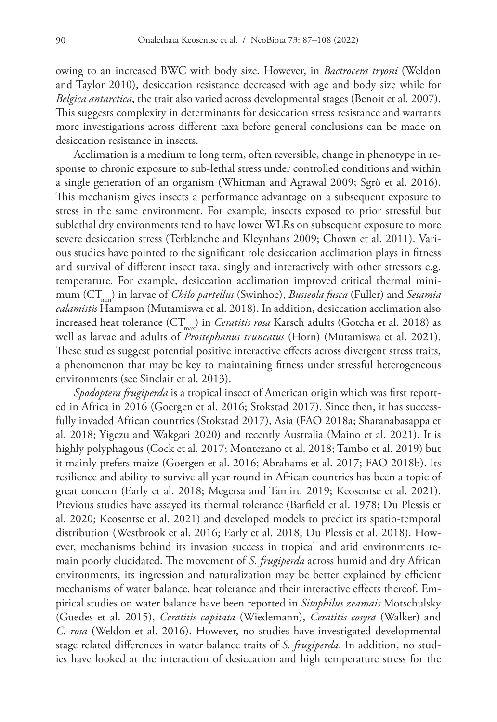owing to an increased BWC with body size. However, in *Bactrocera tryoni* (Weldon and Taylor 2010), desiccation resistance decreased with age and body size while for *Belgica antarctica*, the trait also varied across developmental stages (Benoit et al. 2007). This suggests complexity in determinants for desiccation stress resistance and warrants more investigations across different taxa before general conclusions can be made on desiccation resistance in insects.

Acclimation is a medium to long term, often reversible, change in phenotype in response to chronic exposure to sub-lethal stress under controlled conditions and within a single generation of an organism (Whitman and Agrawal 2009; Sgrò et al. 2016). This mechanism gives insects a performance advantage on a subsequent exposure to stress in the same environment. For example, insects exposed to prior stressful but sublethal dry environments tend to have lower WLRs on subsequent exposure to more severe desiccation stress (Terblanche and Kleynhans 2009; Chown et al. 2011). Various studies have pointed to the significant role desiccation acclimation plays in fitness and survival of different insect taxa, singly and interactively with other stressors e.g. temperature. For example, desiccation acclimation improved critical thermal minimum (CT<sub>min</sub>) in larvae of *Chilo partellus* (Swinhoe), *Busseola fusca* (Fuller) and *Sesamia calamistis* Hampson (Mutamiswa et al. 2018). In addition, desiccation acclimation also increased heat tolerance (CT<sub>max</sub>) in *Ceratitis rosa* Karsch adults (Gotcha et al. 2018) as well as larvae and adults of *Prostephanus truncatus* (Horn) (Mutamiswa et al. 2021). These studies suggest potential positive interactive effects across divergent stress traits, a phenomenon that may be key to maintaining fitness under stressful heterogeneous environments (see Sinclair et al. 2013).

*Spodoptera frugiperda* is a tropical insect of American origin which was first reported in Africa in 2016 (Goergen et al. 2016; Stokstad 2017). Since then, it has successfully invaded African countries (Stokstad 2017), Asia (FAO 2018a; Sharanabasappa et al. 2018; Yigezu and Wakgari 2020) and recently Australia (Maino et al. 2021). It is highly polyphagous (Cock et al. 2017; Montezano et al. 2018; Tambo et al. 2019) but it mainly prefers maize (Goergen et al. 2016; Abrahams et al. 2017; FAO 2018b). Its resilience and ability to survive all year round in African countries has been a topic of great concern (Early et al. 2018; Megersa and Tamiru 2019; Keosentse et al. 2021). Previous studies have assayed its thermal tolerance (Barfield et al. 1978; Du Plessis et al. 2020; Keosentse et al. 2021) and developed models to predict its spatio-temporal distribution (Westbrook et al. 2016; Early et al. 2018; Du Plessis et al. 2018). However, mechanisms behind its invasion success in tropical and arid environments remain poorly elucidated. The movement of *S. frugiperda* across humid and dry African environments, its ingression and naturalization may be better explained by efficient mechanisms of water balance, heat tolerance and their interactive effects thereof. Empirical studies on water balance have been reported in *Sitophilus zeamais* Motschulsky (Guedes et al. 2015), *Ceratitis capitata* (Wiedemann), *Ceratitis cosyra* (Walker) and *C. rosa* (Weldon et al. 2016). However, no studies have investigated developmental stage related differences in water balance traits of *S. frugiperda*. In addition, no studies have looked at the interaction of desiccation and high temperature stress for the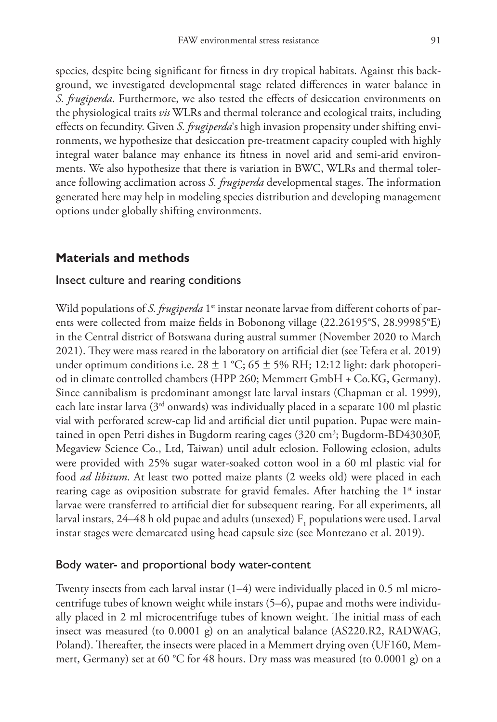species, despite being significant for fitness in dry tropical habitats. Against this background, we investigated developmental stage related differences in water balance in *S. frugiperda*. Furthermore, we also tested the effects of desiccation environments on the physiological traits *vis* WLRs and thermal tolerance and ecological traits, including effects on fecundity. Given *S. frugiperda*'s high invasion propensity under shifting environments, we hypothesize that desiccation pre-treatment capacity coupled with highly integral water balance may enhance its fitness in novel arid and semi-arid environments. We also hypothesize that there is variation in BWC, WLRs and thermal tolerance following acclimation across *S. frugiperda* developmental stages. The information generated here may help in modeling species distribution and developing management options under globally shifting environments.

## **Materials and methods**

#### Insect culture and rearing conditions

Wild populations of *S. frugiperda* 1<sup>st</sup> instar neonate larvae from different cohorts of parents were collected from maize fields in Bobonong village (22.26195°S, 28.99985°E) in the Central district of Botswana during austral summer (November 2020 to March 2021). They were mass reared in the laboratory on artificial diet (see Tefera et al. 2019) under optimum conditions i.e.  $28 \pm 1$  °C;  $65 \pm 5$ % RH; 12:12 light: dark photoperiod in climate controlled chambers (HPP 260; Memmert GmbH + Co.KG, Germany). Since cannibalism is predominant amongst late larval instars (Chapman et al. 1999), each late instar larva ( $3<sup>rd</sup>$  onwards) was individually placed in a separate 100 ml plastic vial with perforated screw-cap lid and artificial diet until pupation. Pupae were maintained in open Petri dishes in Bugdorm rearing cages (320 cm<sup>3</sup>; Bugdorm-BD43030F, Megaview Science Co., Ltd, Taiwan) until adult eclosion. Following eclosion, adults were provided with 25% sugar water-soaked cotton wool in a 60 ml plastic vial for food *ad libitum*. At least two potted maize plants (2 weeks old) were placed in each rearing cage as oviposition substrate for gravid females. After hatching the  $1<sup>st</sup>$  instar larvae were transferred to artificial diet for subsequent rearing. For all experiments, all larval instars, 24–48 h old pupae and adults (unsexed)  $\text{F}_\text{i}$  populations were used. Larval instar stages were demarcated using head capsule size (see Montezano et al. 2019).

#### Body water- and proportional body water-content

Twenty insects from each larval instar (1–4) were individually placed in 0.5 ml microcentrifuge tubes of known weight while instars (5–6), pupae and moths were individually placed in 2 ml microcentrifuge tubes of known weight. The initial mass of each insect was measured (to 0.0001 g) on an analytical balance (AS220.R2, RADWAG, Poland). Thereafter, the insects were placed in a Memmert drying oven (UF160, Memmert, Germany) set at 60 °C for 48 hours. Dry mass was measured (to 0.0001 g) on a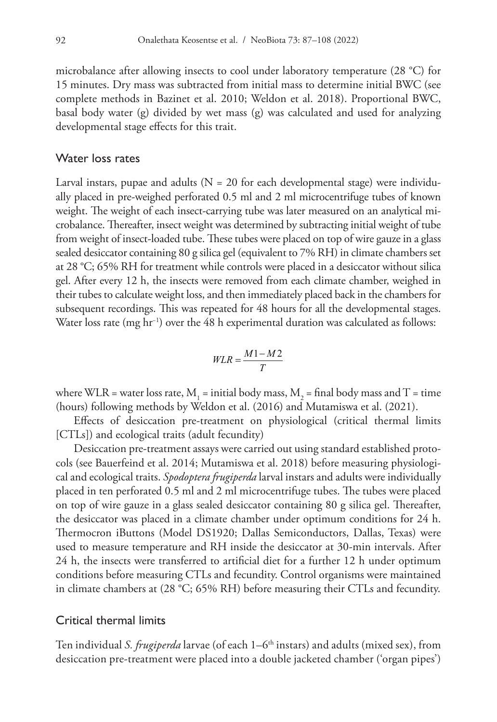microbalance after allowing insects to cool under laboratory temperature (28 °C) for 15 minutes. Dry mass was subtracted from initial mass to determine initial BWC (see complete methods in Bazinet et al. 2010; Weldon et al. 2018). Proportional BWC, basal body water (g) divided by wet mass (g) was calculated and used for analyzing developmental stage effects for this trait.

#### Water loss rates

Larval instars, pupae and adults ( $N = 20$  for each developmental stage) were individually placed in pre-weighed perforated 0.5 ml and 2 ml microcentrifuge tubes of known weight. The weight of each insect-carrying tube was later measured on an analytical microbalance. Thereafter, insect weight was determined by subtracting initial weight of tube from weight of insect-loaded tube. These tubes were placed on top of wire gauze in a glass sealed desiccator containing 80 g silica gel (equivalent to 7% RH) in climate chambers set at 28 °C; 65% RH for treatment while controls were placed in a desiccator without silica gel. After every 12 h, the insects were removed from each climate chamber, weighed in their tubes to calculate weight loss, and then immediately placed back in the chambers for subsequent recordings. This was repeated for 48 hours for all the developmental stages. Water loss rate (mg hr−1) over the 48 h experimental duration was calculated as follows:

$$
WLR = \frac{M1 - M2}{T}
$$

where WLR = water loss rate,  $M_1$  = initial body mass,  $M_2$  = final body mass and T = time (hours) following methods by Weldon et al. (2016) and Mutamiswa et al. (2021).

Effects of desiccation pre-treatment on physiological (critical thermal limits [CTLs]) and ecological traits (adult fecundity)

Desiccation pre-treatment assays were carried out using standard established protocols (see Bauerfeind et al. 2014; Mutamiswa et al. 2018) before measuring physiological and ecological traits. *Spodoptera frugiperda* larval instars and adults were individually placed in ten perforated 0.5 ml and 2 ml microcentrifuge tubes. The tubes were placed on top of wire gauze in a glass sealed desiccator containing 80 g silica gel. Thereafter, the desiccator was placed in a climate chamber under optimum conditions for 24 h. Thermocron iButtons (Model DS1920; Dallas Semiconductors, Dallas, Texas) were used to measure temperature and RH inside the desiccator at 30-min intervals. After 24 h, the insects were transferred to artificial diet for a further 12 h under optimum conditions before measuring CTLs and fecundity. Control organisms were maintained in climate chambers at (28 °C; 65% RH) before measuring their CTLs and fecundity.

### Critical thermal limits

Ten individual *S. frugiperda* larvae (of each 1–6<sup>th</sup> instars) and adults (mixed sex), from desiccation pre-treatment were placed into a double jacketed chamber ('organ pipes')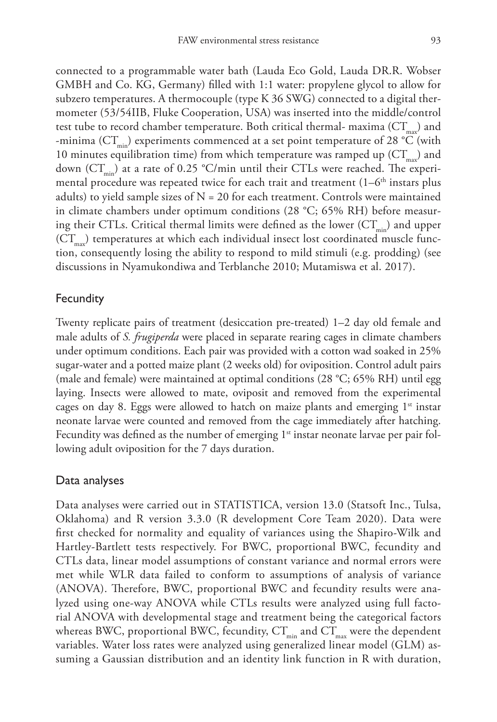connected to a programmable water bath (Lauda Eco Gold, Lauda DR.R. Wobser GMBH and Co. KG, Germany) filled with 1:1 water: propylene glycol to allow for subzero temperatures. A thermocouple (type K 36 SWG) connected to a digital thermometer (53/54IIB, Fluke Cooperation, USA) was inserted into the middle/control test tube to record chamber temperature. Both critical thermal- maxima  $(CT_{m})$  and -minima ( $CT_{min}$ ) experiments commenced at a set point temperature of 28 °C (with 10 minutes equilibration time) from which temperature was ramped up  $(CT_{nn})$  and down  $(CT_{min})$  at a rate of 0.25 °C/min until their CTLs were reached. The experimental procedure was repeated twice for each trait and treatment  $(1-6<sup>th</sup>$  instars plus adults) to yield sample sizes of  $N = 20$  for each treatment. Controls were maintained in climate chambers under optimum conditions (28 °C; 65% RH) before measuring their CTLs. Critical thermal limits were defined as the lower  $(CT_{min})$  and upper  $(CT_{\text{max}})$  temperatures at which each individual insect lost coordinated muscle function, consequently losing the ability to respond to mild stimuli (e.g. prodding) (see discussions in Nyamukondiwa and Terblanche 2010; Mutamiswa et al. 2017).

#### **Fecundity**

Twenty replicate pairs of treatment (desiccation pre-treated) 1–2 day old female and male adults of *S. frugiperda* were placed in separate rearing cages in climate chambers under optimum conditions. Each pair was provided with a cotton wad soaked in 25% sugar-water and a potted maize plant (2 weeks old) for oviposition. Control adult pairs (male and female) were maintained at optimal conditions (28 °C; 65% RH) until egg laying. Insects were allowed to mate, oviposit and removed from the experimental cages on day 8. Eggs were allowed to hatch on maize plants and emerging  $1<sup>st</sup>$  instar neonate larvae were counted and removed from the cage immediately after hatching. Fecundity was defined as the number of emerging  $1<sup>st</sup>$  instar neonate larvae per pair following adult oviposition for the 7 days duration.

#### Data analyses

Data analyses were carried out in STATISTICA, version 13.0 (Statsoft Inc., Tulsa, Oklahoma) and R version 3.3.0 (R development Core Team 2020). Data were first checked for normality and equality of variances using the Shapiro-Wilk and Hartley-Bartlett tests respectively. For BWC, proportional BWC, fecundity and CTLs data, linear model assumptions of constant variance and normal errors were met while WLR data failed to conform to assumptions of analysis of variance (ANOVA). Therefore, BWC, proportional BWC and fecundity results were analyzed using one-way ANOVA while CTLs results were analyzed using full factorial ANOVA with developmental stage and treatment being the categorical factors whereas BWC, proportional BWC, fecundity,  $CT_{min}$  and  $CT_{max}$  were the dependent variables. Water loss rates were analyzed using generalized linear model (GLM) assuming a Gaussian distribution and an identity link function in R with duration,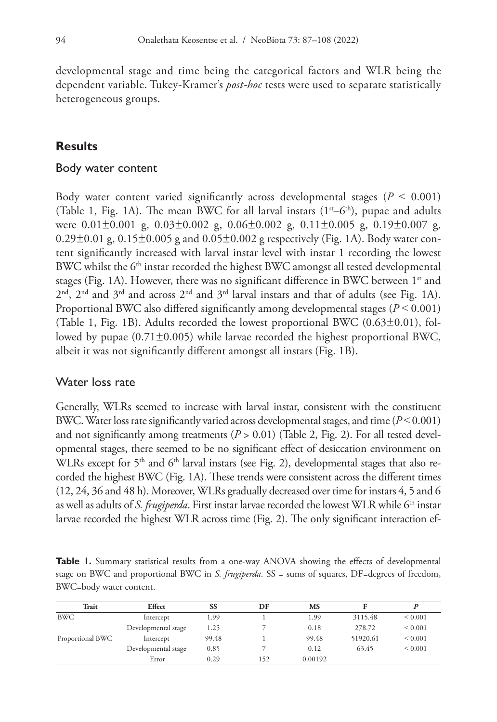developmental stage and time being the categorical factors and WLR being the dependent variable. Tukey-Kramer's *post-hoc* tests were used to separate statistically heterogeneous groups.

## **Results**

#### Body water content

Body water content varied significantly across developmental stages ( $P < 0.001$ ) (Table 1, Fig. 1A). The mean BWC for all larval instars  $(1^{st}-6^{th})$ , pupae and adults were  $0.01\pm0.001$  g,  $0.03\pm0.002$  g,  $0.06\pm0.002$  g,  $0.11\pm0.005$  g,  $0.19\pm0.007$  g, 0.29 $\pm$ 0.01 g, 0.15 $\pm$ 0.005 g and 0.05 $\pm$ 0.002 g respectively (Fig. 1A). Body water content significantly increased with larval instar level with instar 1 recording the lowest BWC whilst the 6<sup>th</sup> instar recorded the highest BWC amongst all tested developmental stages (Fig. 1A). However, there was no significant difference in BWC between  $1<sup>st</sup>$  and  $2<sup>nd</sup>$ ,  $2<sup>nd</sup>$  and  $3<sup>rd</sup>$  and across  $2<sup>nd</sup>$  and  $3<sup>rd</sup>$  larval instars and that of adults (see Fig. 1A). Proportional BWC also differed significantly among developmental stages (*P* ˂ 0.001) (Table 1, Fig. 1B). Adults recorded the lowest proportional BWC  $(0.63\pm0.01)$ , followed by pupae  $(0.71\pm0.005)$  while larvae recorded the highest proportional BWC, albeit it was not significantly different amongst all instars (Fig. 1B).

## Water loss rate

Generally, WLRs seemed to increase with larval instar, consistent with the constituent BWC. Water loss rate significantly varied across developmental stages, and time  $(P< 0.001)$ and not significantly among treatments  $(P > 0.01)$  (Table 2, Fig. 2). For all tested developmental stages, there seemed to be no significant effect of desiccation environment on WLRs except for 5<sup>th</sup> and 6<sup>th</sup> larval instars (see Fig. 2), developmental stages that also recorded the highest BWC (Fig. 1A). These trends were consistent across the different times (12, 24, 36 and 48 h). Moreover, WLRs gradually decreased over time for instars 4, 5 and 6 as well as adults of *S. frugiperda*. First instar larvae recorded the lowest WLR while 6<sup>th</sup> instar larvae recorded the highest WLR across time (Fig. 2). The only significant interaction ef-

**Table 1.** Summary statistical results from a one-way ANOVA showing the effects of developmental stage on BWC and proportional BWC in *S. frugiperda*. SS = sums of squares, DF=degrees of freedom, BWC=body water content.

| Trait            | Effect              | SS    | DF  | MS      |          |              |
|------------------|---------------------|-------|-----|---------|----------|--------------|
| BWC              | Intercept           | 1.99  |     | 1.99    | 3115.48  | ${}_{0.001}$ |
|                  | Developmental stage | 1.25  |     | 0.18    | 278.72   | ${}_{0.001}$ |
| Proportional BWC | Intercept           | 99.48 |     | 99.48   | 51920.61 | ${}_{0.001}$ |
|                  | Developmental stage | 0.85  |     | 0.12    | 63.45    | ${}_{0.001}$ |
|                  | Error               | 0.29  | 152 | 0.00192 |          |              |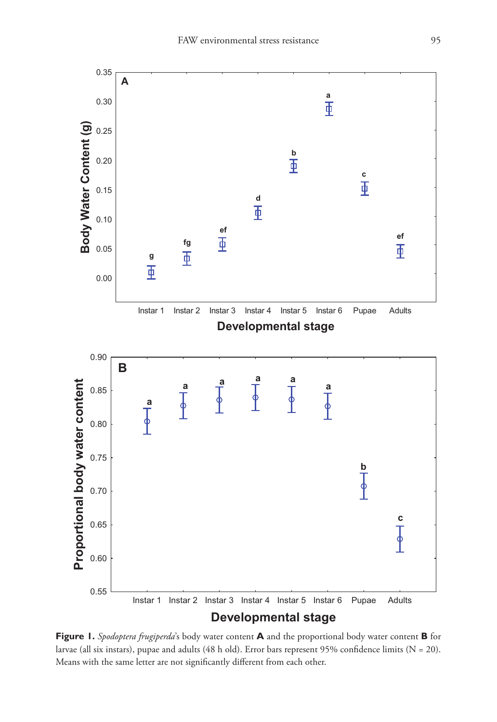

**Figure 1.** *Spodoptera frugiperda*'s body water content **A** and the proportional body water content **B** for larvae (all six instars), pupae and adults (48 h old). Error bars represent 95% confidence limits ( $N = 20$ ). Means with the same letter are not significantly different from each other.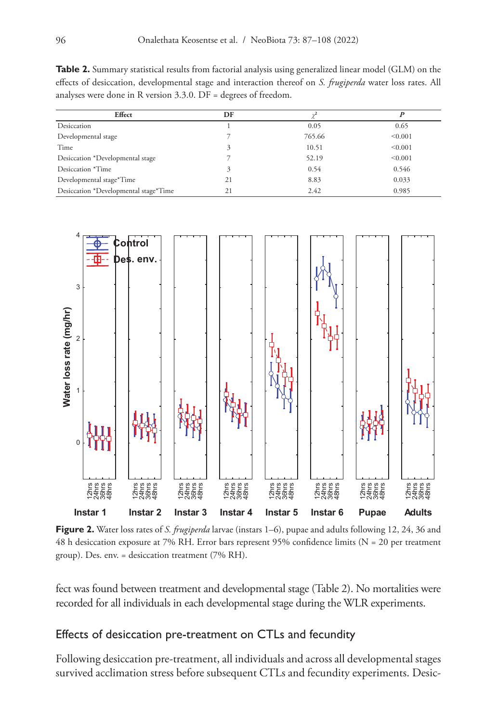**Table 2.** Summary statistical results from factorial analysis using generalized linear model (GLM) on the effects of desiccation, developmental stage and interaction thereof on *S. frugiperda* water loss rates. All analyses were done in R version 3.3.0. DF = degrees of freedom.

| Effect                                | DF |        |         |
|---------------------------------------|----|--------|---------|
| Desiccation                           |    | 0.05   | 0.65    |
| Developmental stage                   |    | 765.66 | < 0.001 |
| Time                                  |    | 10.51  | < 0.001 |
| Desiccation *Developmental stage      |    | 52.19  | < 0.001 |
| Desiccation *Time                     |    | 0.54   | 0.546   |
| Developmental stage*Time              | 21 | 8.83   | 0.033   |
| Desiccation *Developmental stage*Time | 21 | 2.42   | 0.985   |



**Figure 2.** Water loss rates of *S. frugiperda* larvae (instars 1–6), pupae and adults following 12, 24, 36 and 48 h desiccation exposure at 7% RH. Error bars represent 95% confidence limits (N = 20 per treatment group). Des. env. = desiccation treatment (7% RH).

fect was found between treatment and developmental stage (Table 2). No mortalities were recorded for all individuals in each developmental stage during the WLR experiments.

## Effects of desiccation pre-treatment on CTLs and fecundity

Following desiccation pre-treatment, all individuals and across all developmental stages survived acclimation stress before subsequent CTLs and fecundity experiments. Desic-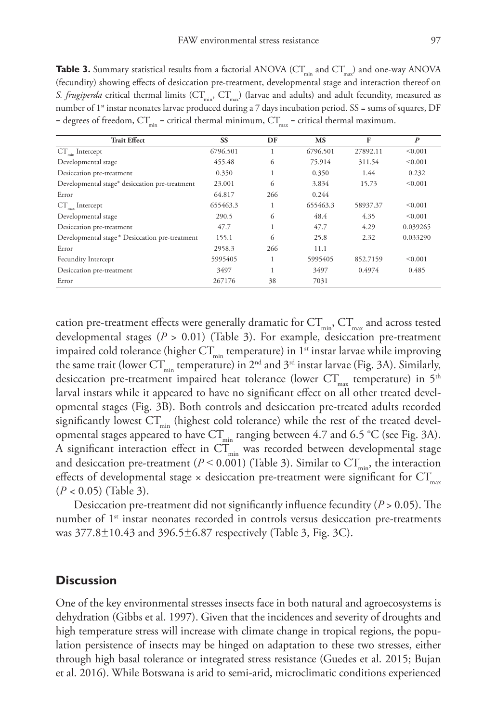**Table 3.** Summary statistical results from a factorial ANOVA ( $CT_{min}$  and  $CT_{max}$ ) and one-way ANOVA (fecundity) showing effects of desiccation pre-treatment, developmental stage and interaction thereof on *S. frugiperda* critical thermal limits (CT<sub>min</sub>, CT<sub>max</sub>) (larvae and adults) and adult fecundity, measured as number of 1<sup>st</sup> instar neonates larvae produced during a 7 days incubation period. SS = sums of squares, DF = degrees of freedom,  $CT_{min}$  = critical thermal minimum,  $CT_{max}$  = critical thermal maximum.

| <b>Trait Effect</b>                            | <b>SS</b> | DF  | <b>MS</b> | F        | $\boldsymbol{P}$ |
|------------------------------------------------|-----------|-----|-----------|----------|------------------|
| $CT_$ Intercept                                | 6796.501  |     | 6796.501  | 27892.11 | < 0.001          |
| Developmental stage                            | 455.48    | 6   | 75.914    | 311.54   | < 0.001          |
| Desiccation pre-treatment                      | 0.350     |     | 0.350     | 1.44     | 0.232            |
| Developmental stage* desiccation pre-treatment | 23,001    | 6   | 3.834     | 15.73    | < 0.001          |
| Error                                          | 64.817    | 266 | 0.244     |          |                  |
| $CT_{\text{max}}$ Intercept                    | 655463.3  |     | 655463.3  | 58937.37 | < 0.001          |
| Developmental stage                            | 290.5     | 6   | 48.4      | 4.35     | < 0.001          |
| Desiccation pre-treatment                      | 47.7      |     | 47.7      | 4.29     | 0.039265         |
| Developmental stage* Desiccation pre-treatment | 155.1     | 6   | 25.8      | 2.32     | 0.033290         |
| Error                                          | 2958.3    | 266 | 11.1      |          |                  |
| Fecundity Intercept                            | 5995405   |     | 5995405   | 852.7159 | < 0.001          |
| Desiccation pre-treatment                      | 3497      |     | 3497      | 0.4974   | 0.485            |
| Error                                          | 267176    | 38  | 7031      |          |                  |

cation pre-treatment effects were generally dramatic for  $CT_{min}$ ,  $CT_{max}$  and across tested developmental stages (*P* > 0.01) (Table 3). For example, desiccation pre-treatment impaired cold tolerance (higher  $CT_{min}$  temperature) in 1<sup>st</sup> instar larvae while improving the same trait (lower  $CT_{min}$  temperature) in  $2^{nd}$  and  $3^{rd}$  instar larvae (Fig. 3A). Similarly, desiccation pre-treatment impaired heat tolerance (lower  $CT_{\text{max}}$  temperature) in 5<sup>th</sup> larval instars while it appeared to have no significant effect on all other treated developmental stages (Fig. 3B). Both controls and desiccation pre-treated adults recorded significantly lowest  $CT_{min}$  (highest cold tolerance) while the rest of the treated developmental stages appeared to have  $CT_{min}$  ranging between 4.7 and 6.5 °C (see Fig. 3A). A significant interaction effect in  $CT_{min}$  was recorded between developmental stage and desiccation pre-treatment ( $P < 0.001$ ) (Table 3). Similar to  $CT_{min}$ , the interaction effects of developmental stage  $\times$  desiccation pre-treatment were significant for  $CT_{max}$ (*P <* 0.05) (Table 3).

Desiccation pre-treatment did not significantly influence fecundity (*P* > 0.05). The number of  $1<sup>st</sup>$  instar neonates recorded in controls versus desiccation pre-treatments was 377.8±10.43 and 396.5±6.87 respectively (Table 3, Fig. 3C).

## **Discussion**

One of the key environmental stresses insects face in both natural and agroecosystems is dehydration (Gibbs et al. 1997). Given that the incidences and severity of droughts and high temperature stress will increase with climate change in tropical regions, the population persistence of insects may be hinged on adaptation to these two stresses, either through high basal tolerance or integrated stress resistance (Guedes et al. 2015; Bujan et al. 2016). While Botswana is arid to semi-arid, microclimatic conditions experienced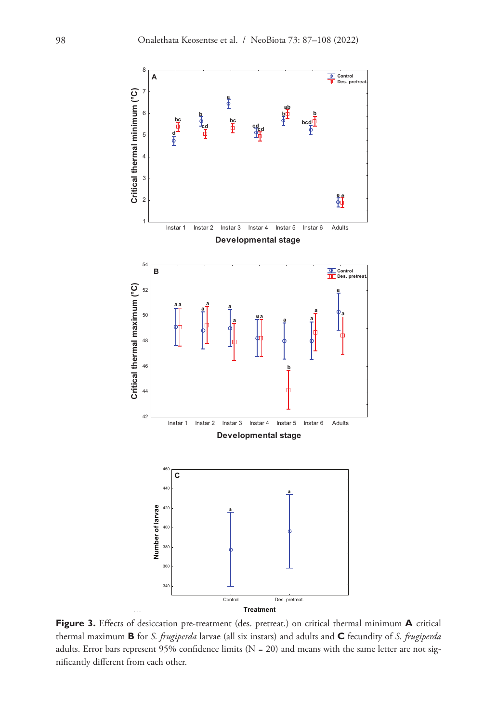

Figure 3. Effects of desiccation pre-treatment (des. pretreat.) on critical thermal minimum A critical thermal maximum **B** for *S. frugiperda* larvae (all six instars) and adults and **C** fecundity of *S. frugiperda* adults. Error bars represent 95% confidence limits (N = 20) and means with the same letter are not significantly different from each other.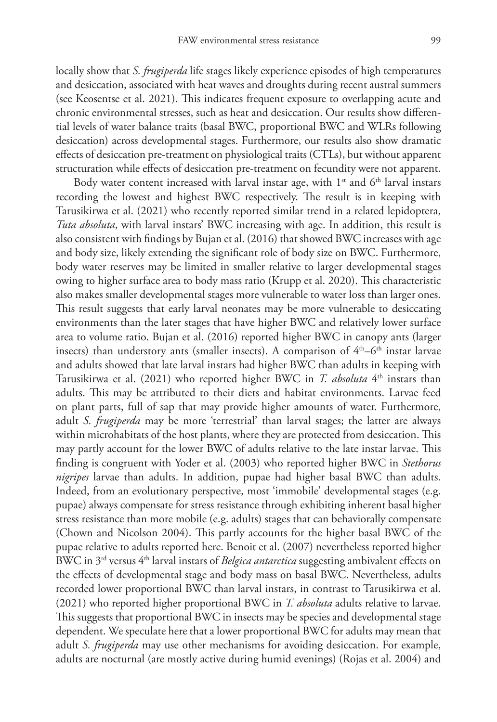locally show that *S. frugiperda* life stages likely experience episodes of high temperatures and desiccation, associated with heat waves and droughts during recent austral summers (see Keosentse et al. 2021). This indicates frequent exposure to overlapping acute and chronic environmental stresses, such as heat and desiccation. Our results show differential levels of water balance traits (basal BWC, proportional BWC and WLRs following desiccation) across developmental stages. Furthermore, our results also show dramatic effects of desiccation pre-treatment on physiological traits (CTLs), but without apparent structuration while effects of desiccation pre-treatment on fecundity were not apparent.

Body water content increased with larval instar age, with  $1<sup>st</sup>$  and  $6<sup>th</sup>$  larval instars recording the lowest and highest BWC respectively. The result is in keeping with Tarusikirwa et al. (2021) who recently reported similar trend in a related lepidoptera, *Tuta absoluta*, with larval instars' BWC increasing with age. In addition, this result is also consistent with findings by Bujan et al. (2016) that showed BWC increases with age and body size, likely extending the significant role of body size on BWC. Furthermore, body water reserves may be limited in smaller relative to larger developmental stages owing to higher surface area to body mass ratio (Krupp et al. 2020). This characteristic also makes smaller developmental stages more vulnerable to water loss than larger ones. This result suggests that early larval neonates may be more vulnerable to desiccating environments than the later stages that have higher BWC and relatively lower surface area to volume ratio. Bujan et al. (2016) reported higher BWC in canopy ants (larger insects) than understory ants (smaller insects). A comparison of  $4<sup>th</sup>$ – $6<sup>th</sup>$  instar larvae and adults showed that late larval instars had higher BWC than adults in keeping with Tarusikirwa et al. (2021) who reported higher BWC in *T. absoluta* 4<sup>th</sup> instars than adults. This may be attributed to their diets and habitat environments. Larvae feed on plant parts, full of sap that may provide higher amounts of water. Furthermore, adult *S. frugiperda* may be more 'terrestrial' than larval stages; the latter are always within microhabitats of the host plants, where they are protected from desiccation. This may partly account for the lower BWC of adults relative to the late instar larvae. This finding is congruent with Yoder et al. (2003) who reported higher BWC in *Stethorus nigripes* larvae than adults. In addition, pupae had higher basal BWC than adults. Indeed, from an evolutionary perspective, most 'immobile' developmental stages (e.g. pupae) always compensate for stress resistance through exhibiting inherent basal higher stress resistance than more mobile (e.g. adults) stages that can behaviorally compensate (Chown and Nicolson 2004). This partly accounts for the higher basal BWC of the pupae relative to adults reported here. Benoit et al. (2007) nevertheless reported higher BWC in 3rd versus 4th larval instars of *Belgica antarctica* suggesting ambivalent effects on the effects of developmental stage and body mass on basal BWC. Nevertheless, adults recorded lower proportional BWC than larval instars, in contrast to Tarusikirwa et al. (2021) who reported higher proportional BWC in *T. absoluta* adults relative to larvae. This suggests that proportional BWC in insects may be species and developmental stage dependent. We speculate here that a lower proportional BWC for adults may mean that adult *S. frugiperda* may use other mechanisms for avoiding desiccation. For example, adults are nocturnal (are mostly active during humid evenings) (Rojas et al. 2004) and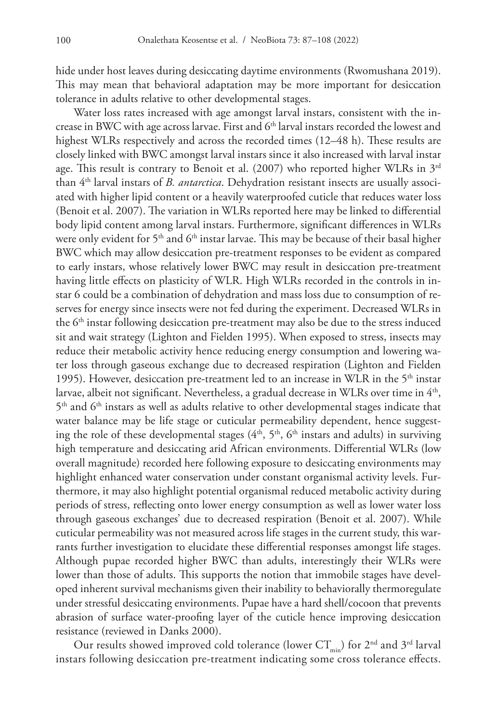hide under host leaves during desiccating daytime environments (Rwomushana 2019). This may mean that behavioral adaptation may be more important for desiccation tolerance in adults relative to other developmental stages.

Water loss rates increased with age amongst larval instars, consistent with the increase in BWC with age across larvae. First and 6<sup>th</sup> larval instars recorded the lowest and highest WLRs respectively and across the recorded times (12–48 h). These results are closely linked with BWC amongst larval instars since it also increased with larval instar age. This result is contrary to Benoit et al.  $(2007)$  who reported higher WLRs in  $3<sup>rd</sup>$ than 4th larval instars of *B. antarctica*. Dehydration resistant insects are usually associated with higher lipid content or a heavily waterproofed cuticle that reduces water loss (Benoit et al. 2007). The variation in WLRs reported here may be linked to differential body lipid content among larval instars. Furthermore, significant differences in WLRs were only evident for 5<sup>th</sup> and 6<sup>th</sup> instar larvae. This may be because of their basal higher BWC which may allow desiccation pre-treatment responses to be evident as compared to early instars, whose relatively lower BWC may result in desiccation pre-treatment having little effects on plasticity of WLR. High WLRs recorded in the controls in instar 6 could be a combination of dehydration and mass loss due to consumption of reserves for energy since insects were not fed during the experiment. Decreased WLRs in the 6<sup>th</sup> instar following desiccation pre-treatment may also be due to the stress induced sit and wait strategy (Lighton and Fielden 1995). When exposed to stress, insects may reduce their metabolic activity hence reducing energy consumption and lowering water loss through gaseous exchange due to decreased respiration (Lighton and Fielden 1995). However, desiccation pre-treatment led to an increase in WLR in the  $5<sup>th</sup>$  instar larvae, albeit not significant. Nevertheless, a gradual decrease in WLRs over time in 4<sup>th</sup>,  $5<sup>th</sup>$  and  $6<sup>th</sup>$  instars as well as adults relative to other developmental stages indicate that water balance may be life stage or cuticular permeability dependent, hence suggesting the role of these developmental stages  $(4<sup>th</sup>, 5<sup>th</sup>, 6<sup>th</sup>$  instars and adults) in surviving high temperature and desiccating arid African environments. Differential WLRs (low overall magnitude) recorded here following exposure to desiccating environments may highlight enhanced water conservation under constant organismal activity levels. Furthermore, it may also highlight potential organismal reduced metabolic activity during periods of stress, reflecting onto lower energy consumption as well as lower water loss through gaseous exchanges' due to decreased respiration (Benoit et al. 2007). While cuticular permeability was not measured across life stages in the current study, this warrants further investigation to elucidate these differential responses amongst life stages. Although pupae recorded higher BWC than adults, interestingly their WLRs were lower than those of adults. This supports the notion that immobile stages have developed inherent survival mechanisms given their inability to behaviorally thermoregulate under stressful desiccating environments. Pupae have a hard shell/cocoon that prevents abrasion of surface water-proofing layer of the cuticle hence improving desiccation resistance (reviewed in Danks 2000).

Our results showed improved cold tolerance (lower  $CT_{min}$ ) for 2<sup>nd</sup> and 3<sup>rd</sup> larval instars following desiccation pre-treatment indicating some cross tolerance effects.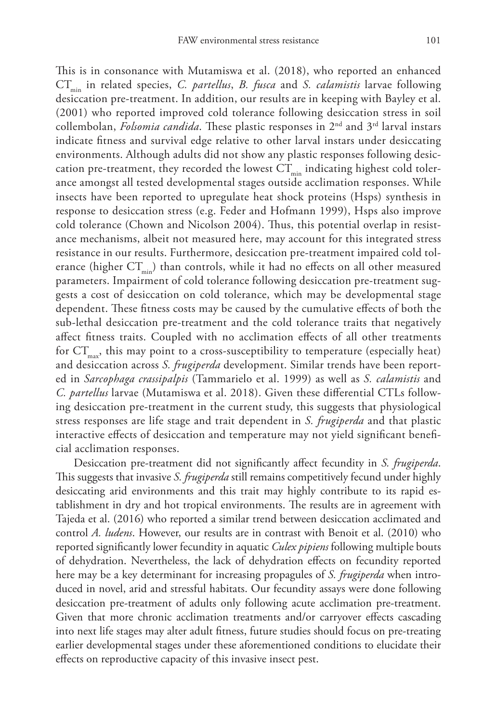This is in consonance with Mutamiswa et al. (2018), who reported an enhanced  $CT_{min}$  in related species, *C. partellus*, *B. fusca* and *S. calamistis* larvae following desiccation pre-treatment. In addition, our results are in keeping with Bayley et al. (2001) who reported improved cold tolerance following desiccation stress in soil collembolan, *Folsomia candida*. These plastic responses in 2nd and 3rd larval instars indicate fitness and survival edge relative to other larval instars under desiccating environments. Although adults did not show any plastic responses following desiccation pre-treatment, they recorded the lowest  $CT_{\min}$  indicating highest cold tolerance amongst all tested developmental stages outside acclimation responses. While insects have been reported to upregulate heat shock proteins (Hsps) synthesis in response to desiccation stress (e.g. Feder and Hofmann 1999), Hsps also improve cold tolerance (Chown and Nicolson 2004). Thus, this potential overlap in resistance mechanisms, albeit not measured here, may account for this integrated stress resistance in our results. Furthermore, desiccation pre-treatment impaired cold tolerance (higher  $CT_{min}$ ) than controls, while it had no effects on all other measured parameters. Impairment of cold tolerance following desiccation pre-treatment suggests a cost of desiccation on cold tolerance, which may be developmental stage dependent. These fitness costs may be caused by the cumulative effects of both the sub-lethal desiccation pre-treatment and the cold tolerance traits that negatively affect fitness traits. Coupled with no acclimation effects of all other treatments for  $CT_{\text{max}}$ , this may point to a cross-susceptibility to temperature (especially heat) and desiccation across *S. frugiperda* development. Similar trends have been reported in *Sarcophaga crassipalpis* (Tammarielo et al. 1999) as well as *S. calamistis* and *C. partellus* larvae (Mutamiswa et al. 2018). Given these differential CTLs following desiccation pre-treatment in the current study, this suggests that physiological stress responses are life stage and trait dependent in *S. frugiperda* and that plastic interactive effects of desiccation and temperature may not yield significant beneficial acclimation responses.

Desiccation pre-treatment did not significantly affect fecundity in *S. frugiperda*. This suggests that invasive *S. frugiperda* still remains competitively fecund under highly desiccating arid environments and this trait may highly contribute to its rapid establishment in dry and hot tropical environments. The results are in agreement with Tajeda et al. (2016) who reported a similar trend between desiccation acclimated and control *A. ludens*. However, our results are in contrast with Benoit et al. (2010) who reported significantly lower fecundity in aquatic *Culex pipiens* following multiple bouts of dehydration. Nevertheless, the lack of dehydration effects on fecundity reported here may be a key determinant for increasing propagules of *S. frugiperda* when introduced in novel, arid and stressful habitats. Our fecundity assays were done following desiccation pre-treatment of adults only following acute acclimation pre-treatment. Given that more chronic acclimation treatments and/or carryover effects cascading into next life stages may alter adult fitness, future studies should focus on pre-treating earlier developmental stages under these aforementioned conditions to elucidate their effects on reproductive capacity of this invasive insect pest.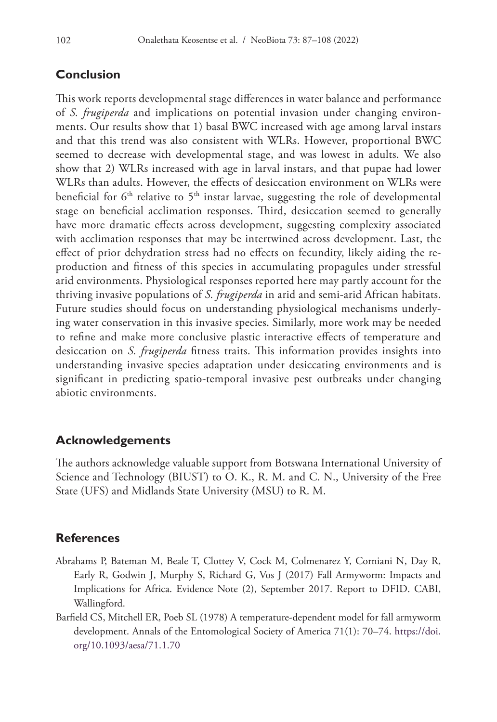## **Conclusion**

This work reports developmental stage differences in water balance and performance of *S. frugiperda* and implications on potential invasion under changing environments. Our results show that 1) basal BWC increased with age among larval instars and that this trend was also consistent with WLRs. However, proportional BWC seemed to decrease with developmental stage, and was lowest in adults. We also show that 2) WLRs increased with age in larval instars, and that pupae had lower WLRs than adults. However, the effects of desiccation environment on WLRs were beneficial for  $6<sup>th</sup>$  relative to  $5<sup>th</sup>$  instar larvae, suggesting the role of developmental stage on beneficial acclimation responses. Third, desiccation seemed to generally have more dramatic effects across development, suggesting complexity associated with acclimation responses that may be intertwined across development. Last, the effect of prior dehydration stress had no effects on fecundity, likely aiding the reproduction and fitness of this species in accumulating propagules under stressful arid environments. Physiological responses reported here may partly account for the thriving invasive populations of *S. frugiperda* in arid and semi-arid African habitats. Future studies should focus on understanding physiological mechanisms underlying water conservation in this invasive species. Similarly, more work may be needed to refine and make more conclusive plastic interactive effects of temperature and desiccation on *S. frugiperda* fitness traits. This information provides insights into understanding invasive species adaptation under desiccating environments and is significant in predicting spatio-temporal invasive pest outbreaks under changing abiotic environments.

## **Acknowledgements**

The authors acknowledge valuable support from Botswana International University of Science and Technology (BIUST) to O. K., R. M. and C. N., University of the Free State (UFS) and Midlands State University (MSU) to R. M.

## **References**

- Abrahams P, Bateman M, Beale T, Clottey V, Cock M, Colmenarez Y, Corniani N, Day R, Early R, Godwin J, Murphy S, Richard G, Vos J (2017) Fall Armyworm: Impacts and Implications for Africa. Evidence Note (2), September 2017. Report to DFID. CABI, Wallingford.
- Barfield CS, Mitchell ER, Poeb SL (1978) A temperature-dependent model for fall armyworm development. Annals of the Entomological Society of America 71(1): 70–74. [https://doi.](https://doi.org/10.1093/aesa/71.1.70) [org/10.1093/aesa/71.1.70](https://doi.org/10.1093/aesa/71.1.70)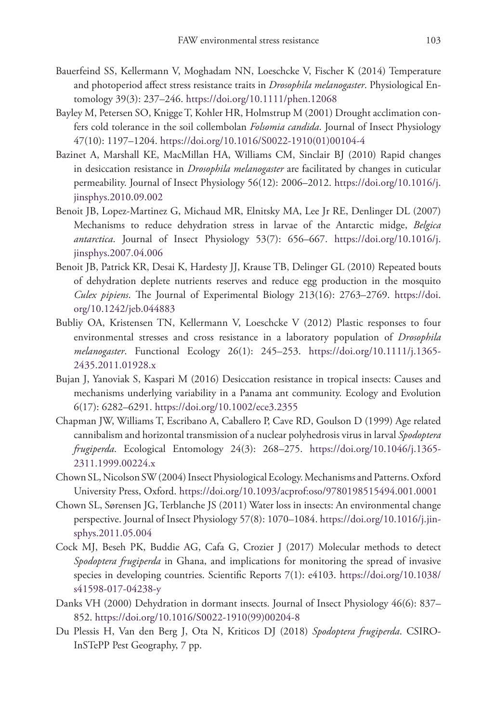- Bauerfeind SS, Kellermann V, Moghadam NN, Loeschcke V, Fischer K (2014) Temperature and photoperiod affect stress resistance traits in *Drosophila melanogaster*. Physiological Entomology 39(3): 237–246.<https://doi.org/10.1111/phen.12068>
- Bayley M, Petersen SO, Knigge T, Kohler HR, Holmstrup M (2001) Drought acclimation confers cold tolerance in the soil collembolan *Folsomia candida*. Journal of Insect Physiology 47(10): 1197–1204. [https://doi.org/10.1016/S0022-1910\(01\)00104-4](https://doi.org/10.1016/S0022-1910(01)00104-4)
- Bazinet A, Marshall KE, MacMillan HA, Williams CM, Sinclair BJ (2010) Rapid changes in desiccation resistance in *Drosophila melanogaster* are facilitated by changes in cuticular permeability. Journal of Insect Physiology 56(12): 2006–2012. [https://doi.org/10.1016/j.](https://doi.org/10.1016/j.jinsphys.2010.09.002) [jinsphys.2010.09.002](https://doi.org/10.1016/j.jinsphys.2010.09.002)
- Benoit JB, Lopez-Martinez G, Michaud MR, Elnitsky MA, Lee Jr RE, Denlinger DL (2007) Mechanisms to reduce dehydration stress in larvae of the Antarctic midge, *Belgica antarctica*. Journal of Insect Physiology 53(7): 656–667. [https://doi.org/10.1016/j.](https://doi.org/10.1016/j.jinsphys.2007.04.006) [jinsphys.2007.04.006](https://doi.org/10.1016/j.jinsphys.2007.04.006)
- Benoit JB, Patrick KR, Desai K, Hardesty JJ, Krause TB, Delinger GL (2010) Repeated bouts of dehydration deplete nutrients reserves and reduce egg production in the mosquito *Culex pipiens*. The Journal of Experimental Biology 213(16): 2763–2769. [https://doi.](https://doi.org/10.1242/jeb.044883) [org/10.1242/jeb.044883](https://doi.org/10.1242/jeb.044883)
- Bubliy OA, Kristensen TN, Kellermann V, Loeschcke V (2012) Plastic responses to four environmental stresses and cross resistance in a laboratory population of *Drosophila melanogaster*. Functional Ecology 26(1): 245–253. [https://doi.org/10.1111/j.1365-](https://doi.org/10.1111/j.1365-2435.2011.01928.x) [2435.2011.01928.x](https://doi.org/10.1111/j.1365-2435.2011.01928.x)
- Bujan J, Yanoviak S, Kaspari M (2016) Desiccation resistance in tropical insects: Causes and mechanisms underlying variability in a Panama ant community. Ecology and Evolution 6(17): 6282–6291. <https://doi.org/10.1002/ece3.2355>
- Chapman JW, Williams T, Escribano A, Caballero P, Cave RD, Goulson D (1999) Age related cannibalism and horizontal transmission of a nuclear polyhedrosis virus in larval *Spodoptera frugiperda*. Ecological Entomology 24(3): 268–275. [https://doi.org/10.1046/j.1365-](https://doi.org/10.1046/j.1365-2311.1999.00224.x) [2311.1999.00224.x](https://doi.org/10.1046/j.1365-2311.1999.00224.x)
- Chown SL, Nicolson SW (2004) Insect Physiological Ecology. Mechanisms and Patterns. Oxford University Press, Oxford. <https://doi.org/10.1093/acprof:oso/9780198515494.001.0001>
- Chown SL, Sørensen JG, Terblanche JS (2011) Water loss in insects: An environmental change perspective. Journal of Insect Physiology 57(8): 1070–1084. [https://doi.org/10.1016/j.jin](https://doi.org/10.1016/j.jinsphys.2011.05.004)[sphys.2011.05.004](https://doi.org/10.1016/j.jinsphys.2011.05.004)
- Cock MJ, Beseh PK, Buddie AG, Cafa G, Crozier J (2017) Molecular methods to detect *Spodoptera frugiperda* in Ghana, and implications for monitoring the spread of invasive species in developing countries. Scientific Reports 7(1): e4103. [https://doi.org/10.1038/](https://doi.org/10.1038/s41598-017-04238-y) [s41598-017-04238-y](https://doi.org/10.1038/s41598-017-04238-y)
- Danks VH (2000) Dehydration in dormant insects. Journal of Insect Physiology 46(6): 837– 852. [https://doi.org/10.1016/S0022-1910\(99\)00204-8](https://doi.org/10.1016/S0022-1910(99)00204-8)
- Du Plessis H, Van den Berg J, Ota N, Kriticos DJ (2018) *Spodoptera frugiperda*. CSIRO-InSTePP Pest Geography, 7 pp.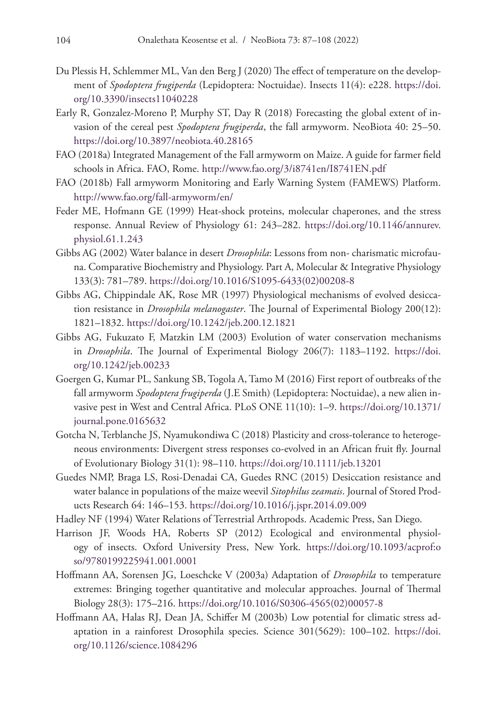- Du Plessis H, Schlemmer ML, Van den Berg J (2020) The effect of temperature on the development of *Spodoptera frugiperda* (Lepidoptera: Noctuidae). Insects 11(4): e228. [https://doi.](https://doi.org/10.3390/insects11040228) [org/10.3390/insects11040228](https://doi.org/10.3390/insects11040228)
- Early R, Gonzalez-Moreno P, Murphy ST, Day R (2018) Forecasting the global extent of invasion of the cereal pest *Spodoptera frugiperda*, the fall armyworm. NeoBiota 40: 25–50. <https://doi.org/10.3897/neobiota.40.28165>
- FAO (2018a) Integrated Management of the Fall armyworm on Maize. A guide for farmer field schools in Africa. FAO, Rome.<http://www.fao.org/3/i8741en/I8741EN.pdf>
- FAO (2018b) Fall armyworm Monitoring and Early Warning System (FAMEWS) Platform. <http://www.fao.org/fall-armyworm/en/>
- Feder ME, Hofmann GE (1999) Heat-shock proteins, molecular chaperones, and the stress response. Annual Review of Physiology 61: 243–282. [https://doi.org/10.1146/annurev.](https://doi.org/10.1146/annurev.physiol.61.1.243) [physiol.61.1.243](https://doi.org/10.1146/annurev.physiol.61.1.243)
- Gibbs AG (2002) Water balance in desert *Drosophila*: Lessons from non- charismatic microfauna. Comparative Biochemistry and Physiology. Part A, Molecular & Integrative Physiology 133(3): 781–789. [https://doi.org/10.1016/S1095-6433\(02\)00208-8](https://doi.org/10.1016/S1095-6433(02)00208-8)
- Gibbs AG, Chippindale AK, Rose MR (1997) Physiological mechanisms of evolved desiccation resistance in *Drosophila melanogaster*. The Journal of Experimental Biology 200(12): 1821–1832.<https://doi.org/10.1242/jeb.200.12.1821>
- Gibbs AG, Fukuzato F, Matzkin LM (2003) Evolution of water conservation mechanisms in *Drosophila*. The Journal of Experimental Biology 206(7): 1183–1192. [https://doi.](https://doi.org/10.1242/jeb.00233) [org/10.1242/jeb.00233](https://doi.org/10.1242/jeb.00233)
- Goergen G, Kumar PL, Sankung SB, Togola A, Tamo M (2016) First report of outbreaks of the fall armyworm *Spodoptera frugiperda* (J.E Smith) (Lepidoptera: Noctuidae), a new alien invasive pest in West and Central Africa. PLoS ONE 11(10): 1–9. [https://doi.org/10.1371/](https://doi.org/10.1371/journal.pone.0165632) [journal.pone.0165632](https://doi.org/10.1371/journal.pone.0165632)
- Gotcha N, Terblanche JS, Nyamukondiwa C (2018) Plasticity and cross-tolerance to heterogeneous environments: Divergent stress responses co-evolved in an African fruit fly. Journal of Evolutionary Biology 31(1): 98–110. <https://doi.org/10.1111/jeb.13201>
- Guedes NMP, Braga LS, Rosi-Denadai CA, Guedes RNC (2015) Desiccation resistance and water balance in populations of the maize weevil *Sitophilus zeamais*. Journal of Stored Products Research 64: 146–153. <https://doi.org/10.1016/j.jspr.2014.09.009>
- Hadley NF (1994) Water Relations of Terrestrial Arthropods. Academic Press, San Diego.
- Harrison JF, Woods HA, Roberts SP (2012) Ecological and environmental physiology of insects. Oxford University Press, New York. [https://doi.org/10.1093/acprof:o](https://doi.org/10.1093/acprof:oso/9780199225941.001.0001) [so/9780199225941.001.0001](https://doi.org/10.1093/acprof:oso/9780199225941.001.0001)
- Hoffmann AA, Sorensen JG, Loeschcke V (2003a) Adaptation of *Drosophila* to temperature extremes: Bringing together quantitative and molecular approaches. Journal of Thermal Biology 28(3): 175–216. [https://doi.org/10.1016/S0306-4565\(02\)00057-8](https://doi.org/10.1016/S0306-4565(02)00057-8)
- Hoffmann AA, Halas RJ, Dean JA, Schiffer M (2003b) Low potential for climatic stress adaptation in a rainforest Drosophila species. Science 301(5629): 100–102. [https://doi.](https://doi.org/10.1126/science.1084296) [org/10.1126/science.1084296](https://doi.org/10.1126/science.1084296)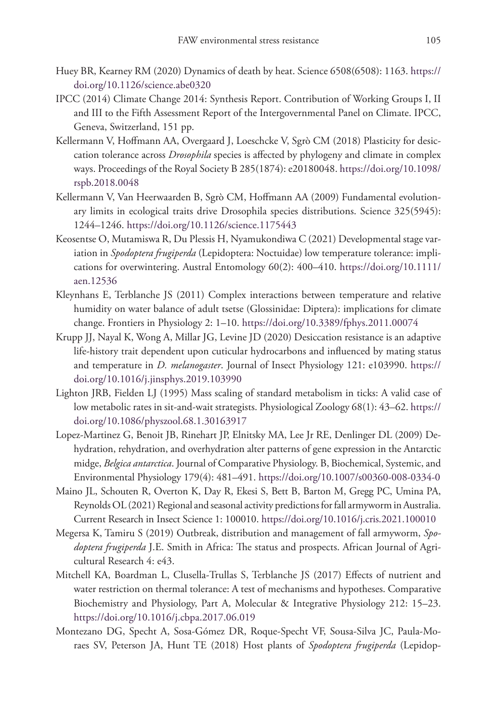- Huey BR, Kearney RM (2020) Dynamics of death by heat. Science 6508(6508): 1163. [https://](https://doi.org/10.1126/science.abe0320) [doi.org/10.1126/science.abe0320](https://doi.org/10.1126/science.abe0320)
- IPCC (2014) Climate Change 2014: Synthesis Report. Contribution of Working Groups I, II and III to the Fifth Assessment Report of the Intergovernmental Panel on Climate. IPCC, Geneva, Switzerland, 151 pp.
- Kellermann V, Hoffmann AA, Overgaard J, Loeschcke V, Sgrò CM (2018) Plasticity for desiccation tolerance across *Drosophila* species is affected by phylogeny and climate in complex ways. Proceedings of the Royal Society B 285(1874): e20180048. [https://doi.org/10.1098/](https://doi.org/10.1098/rspb.2018.0048) [rspb.2018.0048](https://doi.org/10.1098/rspb.2018.0048)
- Kellermann V, Van Heerwaarden B, Sgrò CM, Hoffmann AA (2009) Fundamental evolutionary limits in ecological traits drive Drosophila species distributions. Science 325(5945): 1244–1246.<https://doi.org/10.1126/science.1175443>
- Keosentse O, Mutamiswa R, Du Plessis H, Nyamukondiwa C (2021) Developmental stage variation in *Spodoptera frugiperda* (Lepidoptera: Noctuidae) low temperature tolerance: implications for overwintering. Austral Entomology 60(2): 400–410. [https://doi.org/10.1111/](https://doi.org/10.1111/aen.12536) [aen.12536](https://doi.org/10.1111/aen.12536)
- Kleynhans E, Terblanche JS (2011) Complex interactions between temperature and relative humidity on water balance of adult tsetse (Glossinidae: Diptera): implications for climate change. Frontiers in Physiology 2: 1–10. <https://doi.org/10.3389/fphys.2011.00074>
- Krupp JJ, Nayal K, Wong A, Millar JG, Levine JD (2020) Desiccation resistance is an adaptive life-history trait dependent upon cuticular hydrocarbons and influenced by mating status and temperature in *D. melanogaster*. Journal of Insect Physiology 121: e103990. [https://](https://doi.org/10.1016/j.jinsphys.2019.103990) [doi.org/10.1016/j.jinsphys.2019.103990](https://doi.org/10.1016/j.jinsphys.2019.103990)
- Lighton JRB, Fielden LJ (1995) Mass scaling of standard metabolism in ticks: A valid case of low metabolic rates in sit-and-wait strategists. Physiological Zoology 68(1): 43–62. [https://](https://doi.org/10.1086/physzool.68.1.30163917) [doi.org/10.1086/physzool.68.1.30163917](https://doi.org/10.1086/physzool.68.1.30163917)
- Lopez-Martinez G, Benoit JB, Rinehart JP, Elnitsky MA, Lee Jr RE, Denlinger DL (2009) Dehydration, rehydration, and overhydration alter patterns of gene expression in the Antarctic midge, *Belgica antarctica*. Journal of Comparative Physiology. B, Biochemical, Systemic, and Environmental Physiology 179(4): 481–491.<https://doi.org/10.1007/s00360-008-0334-0>
- Maino JL, Schouten R, Overton K, Day R, Ekesi S, Bett B, Barton M, Gregg PC, Umina PA, Reynolds OL (2021) Regional and seasonal activity predictions for fall armyworm in Australia. Current Research in Insect Science 1: 100010.<https://doi.org/10.1016/j.cris.2021.100010>
- Megersa K, Tamiru S (2019) Outbreak, distribution and management of fall armyworm, *Spodoptera frugiperda* J.E. Smith in Africa: The status and prospects. African Journal of Agricultural Research 4: e43.
- Mitchell KA, Boardman L, Clusella-Trullas S, Terblanche JS (2017) Effects of nutrient and water restriction on thermal tolerance: A test of mechanisms and hypotheses. Comparative Biochemistry and Physiology, Part A, Molecular & Integrative Physiology 212: 15–23. <https://doi.org/10.1016/j.cbpa.2017.06.019>
- Montezano DG, Specht A, Sosa-Gómez DR, Roque-Specht VF, Sousa-Silva JC, Paula-Moraes SV, Peterson JA, Hunt TE (2018) Host plants of *Spodoptera frugiperda* (Lepidop-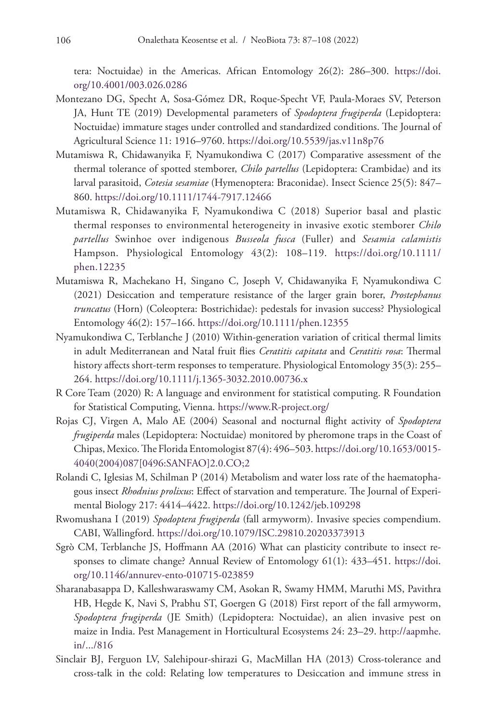tera: Noctuidae) in the Americas. African Entomology 26(2): 286–300. [https://doi.](https://doi.org/10.4001/003.026.0286) [org/10.4001/003.026.0286](https://doi.org/10.4001/003.026.0286)

- Montezano DG, Specht A, Sosa-Gómez DR, Roque-Specht VF, Paula-Moraes SV, Peterson JA, Hunt TE (2019) Developmental parameters of *Spodoptera frugiperda* (Lepidoptera: Noctuidae) immature stages under controlled and standardized conditions. The Journal of Agricultural Science 11: 1916–9760.<https://doi.org/10.5539/jas.v11n8p76>
- Mutamiswa R, Chidawanyika F, Nyamukondiwa C (2017) Comparative assessment of the thermal tolerance of spotted stemborer, *Chilo partellus* (Lepidoptera: Crambidae) and its larval parasitoid, *Cotesia sesamiae* (Hymenoptera: Braconidae). Insect Science 25(5): 847– 860.<https://doi.org/10.1111/1744-7917.12466>
- Mutamiswa R, Chidawanyika F, Nyamukondiwa C (2018) Superior basal and plastic thermal responses to environmental heterogeneity in invasive exotic stemborer *Chilo partellus* Swinhoe over indigenous *Busseola fusca* (Fuller) and *Sesamia calamistis* Hampson. Physiological Entomology 43(2): 108–119. [https://doi.org/10.1111/](https://doi.org/10.1111/phen.12235) [phen.12235](https://doi.org/10.1111/phen.12235)
- Mutamiswa R, Machekano H, Singano C, Joseph V, Chidawanyika F, Nyamukondiwa C (2021) Desiccation and temperature resistance of the larger grain borer, *Prostephanus truncatus* (Horn) (Coleoptera: Bostrichidae): pedestals for invasion success? Physiological Entomology 46(2): 157–166.<https://doi.org/10.1111/phen.12355>
- Nyamukondiwa C, Terblanche J (2010) Within-generation variation of critical thermal limits in adult Mediterranean and Natal fruit flies *Ceratitis capitata* and *Ceratitis rosa*: Thermal history affects short-term responses to temperature. Physiological Entomology 35(3): 255– 264.<https://doi.org/10.1111/j.1365-3032.2010.00736.x>
- R Core Team (2020) R: A language and environment for statistical computing. R Foundation for Statistical Computing, Vienna.<https://www.R-project.org/>
- Rojas CJ, Virgen A, Malo AE (2004) Seasonal and nocturnal flight activity of *Spodoptera frugiperda* males (Lepidoptera: Noctuidae) monitored by pheromone traps in the Coast of Chipas, Mexico. The Florida Entomologist 87(4): 496–503. [https://doi.org/10.1653/0015-](https://doi.org/10.1653/0015-4040(2004)087%5B0496:SANFAO%5D2.0.CO;2) [4040\(2004\)087\[0496:SANFAO\]2.0.CO;2](https://doi.org/10.1653/0015-4040(2004)087%5B0496:SANFAO%5D2.0.CO;2)
- Rolandi C, Iglesias M, Schilman P (2014) Metabolism and water loss rate of the haematophagous insect *Rhodnius prolixus*: Effect of starvation and temperature. The Journal of Experimental Biology 217: 4414–4422. <https://doi.org/10.1242/jeb.109298>
- Rwomushana I (2019) *Spodoptera frugiperda* (fall armyworm). Invasive species compendium. CABI, Wallingford. <https://doi.org/10.1079/ISC.29810.20203373913>
- Sgrò CM, Terblanche JS, Hoffmann AA (2016) What can plasticity contribute to insect responses to climate change? Annual Review of Entomology 61(1): 433–451. [https://doi.](https://doi.org/10.1146/annurev-ento-010715-023859) [org/10.1146/annurev-ento-010715-023859](https://doi.org/10.1146/annurev-ento-010715-023859)
- Sharanabasappa D, Kalleshwaraswamy CM, Asokan R, Swamy HMM, Maruthi MS, Pavithra HB, Hegde K, Navi S, Prabhu ST, Goergen G (2018) First report of the fall armyworm, *Spodoptera frugiperda* (JE Smith) (Lepidoptera: Noctuidae), an alien invasive pest on maize in India. Pest Management in Horticultural Ecosystems 24: 23–29. [http://aapmhe.](http://aapmhe.in/.../816) [in/.../816](http://aapmhe.in/.../816)
- Sinclair BJ, Ferguon LV, Salehipour-shirazi G, MacMillan HA (2013) Cross-tolerance and cross-talk in the cold: Relating low temperatures to Desiccation and immune stress in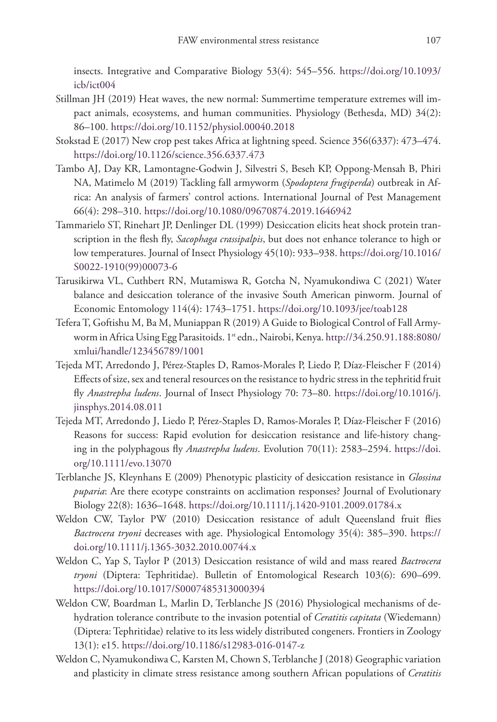insects. Integrative and Comparative Biology 53(4): 545–556. [https://doi.org/10.1093/](https://doi.org/10.1093/icb/ict004) [icb/ict004](https://doi.org/10.1093/icb/ict004)

- Stillman JH (2019) Heat waves, the new normal: Summertime temperature extremes will impact animals, ecosystems, and human communities. Physiology (Bethesda, MD) 34(2): 86–100.<https://doi.org/10.1152/physiol.00040.2018>
- Stokstad E (2017) New crop pest takes Africa at lightning speed. Science 356(6337): 473–474. <https://doi.org/10.1126/science.356.6337.473>
- Tambo AJ, Day KR, Lamontagne-Godwin J, Silvestri S, Beseh KP, Oppong-Mensah B, Phiri NA, Matimelo M (2019) Tackling fall armyworm (*Spodoptera frugiperda*) outbreak in Africa: An analysis of farmers' control actions. International Journal of Pest Management 66(4): 298–310. <https://doi.org/10.1080/09670874.2019.1646942>
- Tammarielo ST, Rinehart JP, Denlinger DL (1999) Desiccation elicits heat shock protein transcription in the flesh fly, *Sacophaga crassipalpis*, but does not enhance tolerance to high or low temperatures. Journal of Insect Physiology 45(10): 933–938. [https://doi.org/10.1016/](https://doi.org/10.1016/S0022-1910(99)00073-6) [S0022-1910\(99\)00073-6](https://doi.org/10.1016/S0022-1910(99)00073-6)
- Tarusikirwa VL, Cuthbert RN, Mutamiswa R, Gotcha N, Nyamukondiwa C (2021) Water balance and desiccation tolerance of the invasive South American pinworm. Journal of Economic Entomology 114(4): 1743–1751. <https://doi.org/10.1093/jee/toab128>
- Tefera T, Goftishu M, Ba M, Muniappan R (2019) A Guide to Biological Control of Fall Armyworm in Africa Using Egg Parasitoids. 1<sup>st</sup> edn., Nairobi, Kenya. [http://34.250.91.188:8080/](http://34.250.91.188:8080/xmlui/handle/123456789/1001) [xmlui/handle/123456789/1001](http://34.250.91.188:8080/xmlui/handle/123456789/1001)
- Tejeda MT, Arredondo J, Pérez-Staples D, Ramos-Morales P, Liedo P, Díaz-Fleischer F (2014) Effects of size, sex and teneral resources on the resistance to hydric stress in the tephritid fruit fly *Anastrepha ludens*. Journal of Insect Physiology 70: 73–80. [https://doi.org/10.1016/j.](https://doi.org/10.1016/j.jinsphys.2014.08.011) [jinsphys.2014.08.011](https://doi.org/10.1016/j.jinsphys.2014.08.011)
- Tejeda MT, Arredondo J, Liedo P, Pérez-Staples D, Ramos-Morales P, Díaz-Fleischer F (2016) Reasons for success: Rapid evolution for desiccation resistance and life-history changing in the polyphagous fly *Anastrepha ludens*. Evolution 70(11): 2583–2594. [https://doi.](https://doi.org/10.1111/evo.13070) [org/10.1111/evo.13070](https://doi.org/10.1111/evo.13070)
- Terblanche JS, Kleynhans E (2009) Phenotypic plasticity of desiccation resistance in *Glossina puparia*: Are there ecotype constraints on acclimation responses? Journal of Evolutionary Biology 22(8): 1636–1648. <https://doi.org/10.1111/j.1420-9101.2009.01784.x>
- Weldon CW, Taylor PW (2010) Desiccation resistance of adult Queensland fruit flies *Bactrocera tryoni* decreases with age. Physiological Entomology 35(4): 385–390. [https://](https://doi.org/10.1111/j.1365-3032.2010.00744.x) [doi.org/10.1111/j.1365-3032.2010.00744.x](https://doi.org/10.1111/j.1365-3032.2010.00744.x)
- Weldon C, Yap S, Taylor P (2013) Desiccation resistance of wild and mass reared *Bactrocera tryoni* (Diptera: Tephritidae). Bulletin of Entomological Research 103(6): 690–699. <https://doi.org/10.1017/S0007485313000394>
- Weldon CW, Boardman L, Marlin D, Terblanche JS (2016) Physiological mechanisms of dehydration tolerance contribute to the invasion potential of *Ceratitis capitata* (Wiedemann) (Diptera: Tephritidae) relative to its less widely distributed congeners. Frontiers in Zoology 13(1): e15. <https://doi.org/10.1186/s12983-016-0147-z>
- Weldon C, Nyamukondiwa C, Karsten M, Chown S, Terblanche J (2018) Geographic variation and plasticity in climate stress resistance among southern African populations of *Ceratitis*